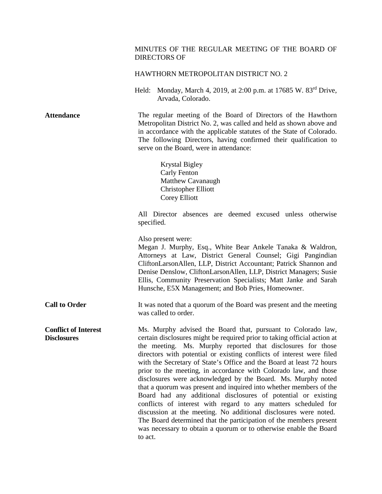## MINUTES OF THE REGULAR MEETING OF THE BOARD OF DIRECTORS OF

## HAWTHORN METROPOLITAN DISTRICT NO. 2

Held: Monday, March 4, 2019, at 2:00 p.m. at 17685 W. 83rd Drive, Arvada, Colorado.

**Attendance** The regular meeting of the Board of Directors of the Hawthorn Metropolitan District No. 2, was called and held as shown above and in accordance with the applicable statutes of the State of Colorado. The following Directors, having confirmed their qualification to serve on the Board, were in attendance:

> Krystal Bigley Carly Fenton Matthew Cavanaugh Christopher Elliott Corey Elliott

All Director absences are deemed excused unless otherwise specified.

Also present were:

Megan J. Murphy, Esq., White Bear Ankele Tanaka & Waldron, Attorneys at Law, District General Counsel; Gigi Pangindian CliftonLarsonAllen, LLP, District Accountant; Patrick Shannon and Denise Denslow, CliftonLarsonAllen, LLP, District Managers; Susie Ellis, Community Preservation Specialists; Matt Janke and Sarah Hunsche, E5X Management; and Bob Pries, Homeowner.

**Call to Order** It was noted that a quorum of the Board was present and the meeting was called to order.

**Conflict of Interest Disclosures** Ms. Murphy advised the Board that, pursuant to Colorado law, certain disclosures might be required prior to taking official action at the meeting. Ms. Murphy reported that disclosures for those directors with potential or existing conflicts of interest were filed with the Secretary of State's Office and the Board at least 72 hours prior to the meeting, in accordance with Colorado law, and those disclosures were acknowledged by the Board. Ms. Murphy noted that a quorum was present and inquired into whether members of the Board had any additional disclosures of potential or existing conflicts of interest with regard to any matters scheduled for discussion at the meeting. No additional disclosures were noted. The Board determined that the participation of the members present was necessary to obtain a quorum or to otherwise enable the Board to act.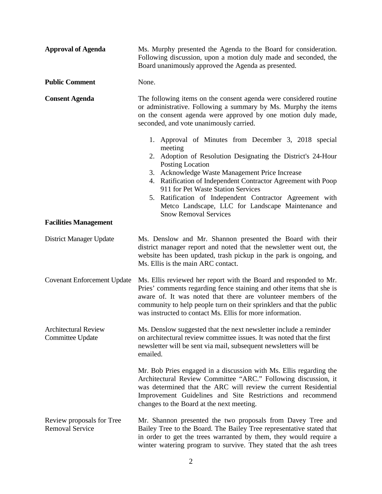| <b>Approval of Agenda</b>                           | Ms. Murphy presented the Agenda to the Board for consideration.<br>Following discussion, upon a motion duly made and seconded, the<br>Board unanimously approved the Agenda as presented.                                                                                                                                                                                                                                                                      |
|-----------------------------------------------------|----------------------------------------------------------------------------------------------------------------------------------------------------------------------------------------------------------------------------------------------------------------------------------------------------------------------------------------------------------------------------------------------------------------------------------------------------------------|
| <b>Public Comment</b>                               | None.                                                                                                                                                                                                                                                                                                                                                                                                                                                          |
| <b>Consent Agenda</b>                               | The following items on the consent agenda were considered routine<br>or administrative. Following a summary by Ms. Murphy the items<br>on the consent agenda were approved by one motion duly made,<br>seconded, and vote unanimously carried.                                                                                                                                                                                                                 |
|                                                     | 1. Approval of Minutes from December 3, 2018 special<br>meeting<br>2. Adoption of Resolution Designating the District's 24-Hour<br>Posting Location<br>3. Acknowledge Waste Management Price Increase<br>4. Ratification of Independent Contractor Agreement with Poop<br>911 for Pet Waste Station Services<br>5. Ratification of Independent Contractor Agreement with<br>Metco Landscape, LLC for Landscape Maintenance and<br><b>Snow Removal Services</b> |
| <b>Facilities Management</b>                        |                                                                                                                                                                                                                                                                                                                                                                                                                                                                |
| District Manager Update                             | Ms. Denslow and Mr. Shannon presented the Board with their<br>district manager report and noted that the newsletter went out, the<br>website has been updated, trash pickup in the park is ongoing, and<br>Ms. Ellis is the main ARC contact.                                                                                                                                                                                                                  |
| <b>Covenant Enforcement Update</b>                  | Ms. Ellis reviewed her report with the Board and responded to Mr.<br>Pries' comments regarding fence staining and other items that she is<br>aware of. It was noted that there are volunteer members of the<br>community to help people turn on their sprinklers and that the public<br>was instructed to contact Ms. Ellis for more information.                                                                                                              |
| <b>Architectural Review</b><br>Committee Update     | Ms. Denslow suggested that the next newsletter include a reminder<br>on architectural review committee issues. It was noted that the first<br>newsletter will be sent via mail, subsequent newsletters will be<br>emailed.                                                                                                                                                                                                                                     |
|                                                     | Mr. Bob Pries engaged in a discussion with Ms. Ellis regarding the<br>Architectural Review Committee "ARC." Following discussion, it<br>was determined that the ARC will review the current Residential<br>Improvement Guidelines and Site Restrictions and recommend<br>changes to the Board at the next meeting.                                                                                                                                             |
| Review proposals for Tree<br><b>Removal Service</b> | Mr. Shannon presented the two proposals from Davey Tree and<br>Bailey Tree to the Board. The Bailey Tree representative stated that<br>in order to get the trees warranted by them, they would require a<br>winter watering program to survive. They stated that the ash trees                                                                                                                                                                                 |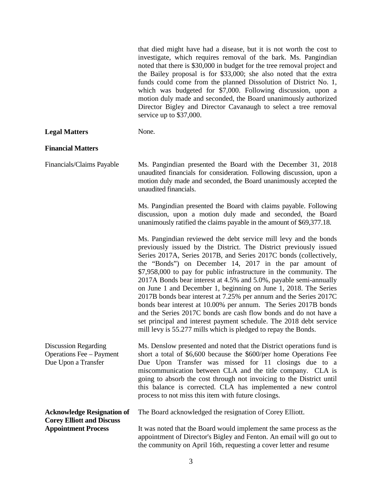that died might have had a disease, but it is not worth the cost to investigate, which requires removal of the bark. Ms. Pangindian noted that there is \$30,000 in budget for the tree removal project and the Bailey proposal is for \$33,000; she also noted that the extra funds could come from the planned Dissolution of District No. 1, which was budgeted for \$7,000. Following discussion, upon a motion duly made and seconded, the Board unanimously authorized Director Bigley and Director Cavanaugh to select a tree removal service up to \$37,000.

**Legal Matters** None.

## **Financial Matters**

Financials/Claims Payable Ms. Pangindian presented the Board with the December 31, 2018 unaudited financials for consideration. Following discussion, upon a motion duly made and seconded, the Board unanimously accepted the unaudited financials.

> Ms. Pangindian presented the Board with claims payable. Following discussion, upon a motion duly made and seconded, the Board unanimously ratified the claims payable in the amount of \$69,377.18.

> Ms. Pangindian reviewed the debt service mill levy and the bonds previously issued by the District. The District previously issued Series 2017A, Series 2017B, and Series 2017C bonds (collectively, the "Bonds") on December 14, 2017 in the par amount of \$7,958,000 to pay for public infrastructure in the community. The 2017A Bonds bear interest at 4.5% and 5.0%, payable semi-annually on June 1 and December 1, beginning on June 1, 2018. The Series 2017B bonds bear interest at 7.25% per annum and the Series 2017C bonds bear interest at 10.00% per annum. The Series 2017B bonds and the Series 2017C bonds are cash flow bonds and do not have a set principal and interest payment schedule. The 2018 debt service mill levy is 55.277 mills which is pledged to repay the Bonds.

Discussion Regarding Operations Fee – Payment Due Upon a Transfer Ms. Denslow presented and noted that the District operations fund is short a total of \$6,600 because the \$600/per home Operations Fee Due Upon Transfer was missed for 11 closings due to a miscommunication between CLA and the title company. CLA is going to absorb the cost through not invoicing to the District until this balance is corrected. CLA has implemented a new control process to not miss this item with future closings.

**Acknowledge Resignation of Corey Elliott and Discuss Appointment Process** 

The Board acknowledged the resignation of Corey Elliott.

It was noted that the Board would implement the same process as the appointment of Director's Bigley and Fenton. An email will go out to the community on April 16th, requesting a cover letter and resume